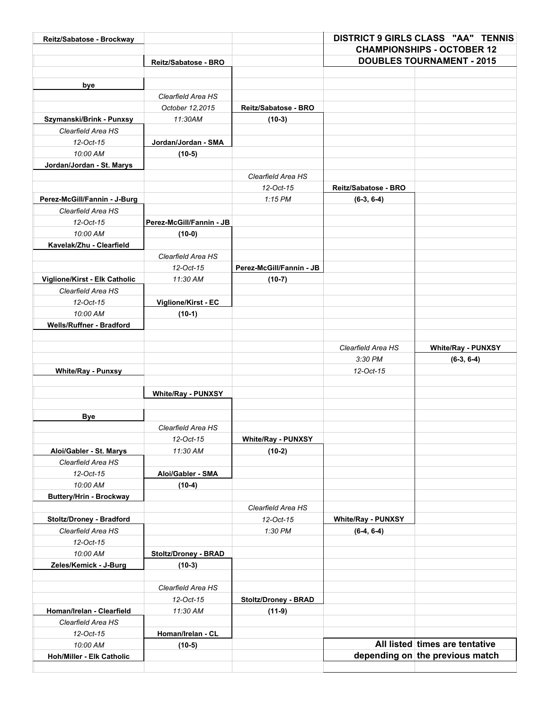| <b>CHAMPIONSHIPS - OCTOBER 12</b><br><b>DOUBLES TOURNAMENT - 2015</b><br>Reitz/Sabatose - BRO<br>bye<br>Clearfield Area HS<br>October 12,2015<br>Reitz/Sabatose - BRO<br>11:30AM<br>$(10-3)$<br>Szymanski/Brink - Punxsy<br>Clearfield Area HS<br>12-Oct-15<br>Jordan/Jordan - SMA<br>10:00 AM<br>$(10-5)$<br>Jordan/Jordan - St. Marys<br>Clearfield Area HS<br>12-Oct-15<br>Reitz/Sabatose - BRO<br>$1:15$ PM<br>Perez-McGill/Fannin - J-Burg<br>$(6-3, 6-4)$<br>Clearfield Area HS<br>12-Oct-15<br>Perez-McGill/Fannin - JB<br>10:00 AM<br>$(10-0)$<br>Kavelak/Zhu - Clearfield<br>Clearfield Area HS<br>12-Oct-15<br>Perez-McGill/Fannin - JB<br>Viglione/Kirst - Elk Catholic<br>11:30 AM<br>$(10-7)$<br>Clearfield Area HS<br>12-Oct-15<br>Viglione/Kirst - EC<br>10:00 AM<br>$(10-1)$<br>Wells/Ruffner - Bradford<br>Clearfield Area HS<br><b>White/Ray - PUNXSY</b><br>3:30 PM<br>$(6-3, 6-4)$<br>12-Oct-15<br><b>White/Ray - Punxsy</b><br><b>White/Ray - PUNXSY</b><br><b>Bye</b><br>Clearfield Area HS<br>12-Oct-15<br><b>White/Ray - PUNXSY</b><br>Aloi/Gabler - St. Marys<br>11:30 AM<br>$(10-2)$<br>Clearfield Area HS<br>12-Oct-15<br>Aloi/Gabler - SMA<br>10:00 AM<br>$(10-4)$<br><b>Buttery/Hrin - Brockway</b><br>Clearfield Area HS<br>Stoltz/Droney - Bradford<br>12-Oct-15<br><b>White/Ray - PUNXSY</b><br>Clearfield Area HS<br>1:30 PM<br>$(6-4, 6-4)$<br>12-Oct-15<br>10:00 AM<br>Stoltz/Droney - BRAD<br>Zeles/Kemick - J-Burg<br>$(10-3)$<br>Clearfield Area HS<br>12-Oct-15<br><b>Stoltz/Droney - BRAD</b><br>11:30 AM<br>$(11-9)$<br>Homan/Irelan - Clearfield<br>Clearfield Area HS<br>12-Oct-15<br>Homan/Irelan - CL<br>All listed times are tentative<br>10:00 AM<br>$(10-5)$<br>depending on the previous match<br>Hoh/Miller - Elk Catholic | Reitz/Sabatose - Brockway |  | <b>DISTRICT 9 GIRLS CLASS "AA" TENNIS</b> |  |
|------------------------------------------------------------------------------------------------------------------------------------------------------------------------------------------------------------------------------------------------------------------------------------------------------------------------------------------------------------------------------------------------------------------------------------------------------------------------------------------------------------------------------------------------------------------------------------------------------------------------------------------------------------------------------------------------------------------------------------------------------------------------------------------------------------------------------------------------------------------------------------------------------------------------------------------------------------------------------------------------------------------------------------------------------------------------------------------------------------------------------------------------------------------------------------------------------------------------------------------------------------------------------------------------------------------------------------------------------------------------------------------------------------------------------------------------------------------------------------------------------------------------------------------------------------------------------------------------------------------------------------------------------------------------------------------------------------------------------------------------------------------------------|---------------------------|--|-------------------------------------------|--|
|                                                                                                                                                                                                                                                                                                                                                                                                                                                                                                                                                                                                                                                                                                                                                                                                                                                                                                                                                                                                                                                                                                                                                                                                                                                                                                                                                                                                                                                                                                                                                                                                                                                                                                                                                                              |                           |  |                                           |  |
|                                                                                                                                                                                                                                                                                                                                                                                                                                                                                                                                                                                                                                                                                                                                                                                                                                                                                                                                                                                                                                                                                                                                                                                                                                                                                                                                                                                                                                                                                                                                                                                                                                                                                                                                                                              |                           |  |                                           |  |
|                                                                                                                                                                                                                                                                                                                                                                                                                                                                                                                                                                                                                                                                                                                                                                                                                                                                                                                                                                                                                                                                                                                                                                                                                                                                                                                                                                                                                                                                                                                                                                                                                                                                                                                                                                              |                           |  |                                           |  |
|                                                                                                                                                                                                                                                                                                                                                                                                                                                                                                                                                                                                                                                                                                                                                                                                                                                                                                                                                                                                                                                                                                                                                                                                                                                                                                                                                                                                                                                                                                                                                                                                                                                                                                                                                                              |                           |  |                                           |  |
|                                                                                                                                                                                                                                                                                                                                                                                                                                                                                                                                                                                                                                                                                                                                                                                                                                                                                                                                                                                                                                                                                                                                                                                                                                                                                                                                                                                                                                                                                                                                                                                                                                                                                                                                                                              |                           |  |                                           |  |
|                                                                                                                                                                                                                                                                                                                                                                                                                                                                                                                                                                                                                                                                                                                                                                                                                                                                                                                                                                                                                                                                                                                                                                                                                                                                                                                                                                                                                                                                                                                                                                                                                                                                                                                                                                              |                           |  |                                           |  |
|                                                                                                                                                                                                                                                                                                                                                                                                                                                                                                                                                                                                                                                                                                                                                                                                                                                                                                                                                                                                                                                                                                                                                                                                                                                                                                                                                                                                                                                                                                                                                                                                                                                                                                                                                                              |                           |  |                                           |  |
|                                                                                                                                                                                                                                                                                                                                                                                                                                                                                                                                                                                                                                                                                                                                                                                                                                                                                                                                                                                                                                                                                                                                                                                                                                                                                                                                                                                                                                                                                                                                                                                                                                                                                                                                                                              |                           |  |                                           |  |
|                                                                                                                                                                                                                                                                                                                                                                                                                                                                                                                                                                                                                                                                                                                                                                                                                                                                                                                                                                                                                                                                                                                                                                                                                                                                                                                                                                                                                                                                                                                                                                                                                                                                                                                                                                              |                           |  |                                           |  |
|                                                                                                                                                                                                                                                                                                                                                                                                                                                                                                                                                                                                                                                                                                                                                                                                                                                                                                                                                                                                                                                                                                                                                                                                                                                                                                                                                                                                                                                                                                                                                                                                                                                                                                                                                                              |                           |  |                                           |  |
|                                                                                                                                                                                                                                                                                                                                                                                                                                                                                                                                                                                                                                                                                                                                                                                                                                                                                                                                                                                                                                                                                                                                                                                                                                                                                                                                                                                                                                                                                                                                                                                                                                                                                                                                                                              |                           |  |                                           |  |
|                                                                                                                                                                                                                                                                                                                                                                                                                                                                                                                                                                                                                                                                                                                                                                                                                                                                                                                                                                                                                                                                                                                                                                                                                                                                                                                                                                                                                                                                                                                                                                                                                                                                                                                                                                              |                           |  |                                           |  |
|                                                                                                                                                                                                                                                                                                                                                                                                                                                                                                                                                                                                                                                                                                                                                                                                                                                                                                                                                                                                                                                                                                                                                                                                                                                                                                                                                                                                                                                                                                                                                                                                                                                                                                                                                                              |                           |  |                                           |  |
|                                                                                                                                                                                                                                                                                                                                                                                                                                                                                                                                                                                                                                                                                                                                                                                                                                                                                                                                                                                                                                                                                                                                                                                                                                                                                                                                                                                                                                                                                                                                                                                                                                                                                                                                                                              |                           |  |                                           |  |
|                                                                                                                                                                                                                                                                                                                                                                                                                                                                                                                                                                                                                                                                                                                                                                                                                                                                                                                                                                                                                                                                                                                                                                                                                                                                                                                                                                                                                                                                                                                                                                                                                                                                                                                                                                              |                           |  |                                           |  |
|                                                                                                                                                                                                                                                                                                                                                                                                                                                                                                                                                                                                                                                                                                                                                                                                                                                                                                                                                                                                                                                                                                                                                                                                                                                                                                                                                                                                                                                                                                                                                                                                                                                                                                                                                                              |                           |  |                                           |  |
|                                                                                                                                                                                                                                                                                                                                                                                                                                                                                                                                                                                                                                                                                                                                                                                                                                                                                                                                                                                                                                                                                                                                                                                                                                                                                                                                                                                                                                                                                                                                                                                                                                                                                                                                                                              |                           |  |                                           |  |
|                                                                                                                                                                                                                                                                                                                                                                                                                                                                                                                                                                                                                                                                                                                                                                                                                                                                                                                                                                                                                                                                                                                                                                                                                                                                                                                                                                                                                                                                                                                                                                                                                                                                                                                                                                              |                           |  |                                           |  |
|                                                                                                                                                                                                                                                                                                                                                                                                                                                                                                                                                                                                                                                                                                                                                                                                                                                                                                                                                                                                                                                                                                                                                                                                                                                                                                                                                                                                                                                                                                                                                                                                                                                                                                                                                                              |                           |  |                                           |  |
|                                                                                                                                                                                                                                                                                                                                                                                                                                                                                                                                                                                                                                                                                                                                                                                                                                                                                                                                                                                                                                                                                                                                                                                                                                                                                                                                                                                                                                                                                                                                                                                                                                                                                                                                                                              |                           |  |                                           |  |
|                                                                                                                                                                                                                                                                                                                                                                                                                                                                                                                                                                                                                                                                                                                                                                                                                                                                                                                                                                                                                                                                                                                                                                                                                                                                                                                                                                                                                                                                                                                                                                                                                                                                                                                                                                              |                           |  |                                           |  |
|                                                                                                                                                                                                                                                                                                                                                                                                                                                                                                                                                                                                                                                                                                                                                                                                                                                                                                                                                                                                                                                                                                                                                                                                                                                                                                                                                                                                                                                                                                                                                                                                                                                                                                                                                                              |                           |  |                                           |  |
|                                                                                                                                                                                                                                                                                                                                                                                                                                                                                                                                                                                                                                                                                                                                                                                                                                                                                                                                                                                                                                                                                                                                                                                                                                                                                                                                                                                                                                                                                                                                                                                                                                                                                                                                                                              |                           |  |                                           |  |
|                                                                                                                                                                                                                                                                                                                                                                                                                                                                                                                                                                                                                                                                                                                                                                                                                                                                                                                                                                                                                                                                                                                                                                                                                                                                                                                                                                                                                                                                                                                                                                                                                                                                                                                                                                              |                           |  |                                           |  |
|                                                                                                                                                                                                                                                                                                                                                                                                                                                                                                                                                                                                                                                                                                                                                                                                                                                                                                                                                                                                                                                                                                                                                                                                                                                                                                                                                                                                                                                                                                                                                                                                                                                                                                                                                                              |                           |  |                                           |  |
|                                                                                                                                                                                                                                                                                                                                                                                                                                                                                                                                                                                                                                                                                                                                                                                                                                                                                                                                                                                                                                                                                                                                                                                                                                                                                                                                                                                                                                                                                                                                                                                                                                                                                                                                                                              |                           |  |                                           |  |
|                                                                                                                                                                                                                                                                                                                                                                                                                                                                                                                                                                                                                                                                                                                                                                                                                                                                                                                                                                                                                                                                                                                                                                                                                                                                                                                                                                                                                                                                                                                                                                                                                                                                                                                                                                              |                           |  |                                           |  |
|                                                                                                                                                                                                                                                                                                                                                                                                                                                                                                                                                                                                                                                                                                                                                                                                                                                                                                                                                                                                                                                                                                                                                                                                                                                                                                                                                                                                                                                                                                                                                                                                                                                                                                                                                                              |                           |  |                                           |  |
|                                                                                                                                                                                                                                                                                                                                                                                                                                                                                                                                                                                                                                                                                                                                                                                                                                                                                                                                                                                                                                                                                                                                                                                                                                                                                                                                                                                                                                                                                                                                                                                                                                                                                                                                                                              |                           |  |                                           |  |
|                                                                                                                                                                                                                                                                                                                                                                                                                                                                                                                                                                                                                                                                                                                                                                                                                                                                                                                                                                                                                                                                                                                                                                                                                                                                                                                                                                                                                                                                                                                                                                                                                                                                                                                                                                              |                           |  |                                           |  |
|                                                                                                                                                                                                                                                                                                                                                                                                                                                                                                                                                                                                                                                                                                                                                                                                                                                                                                                                                                                                                                                                                                                                                                                                                                                                                                                                                                                                                                                                                                                                                                                                                                                                                                                                                                              |                           |  |                                           |  |
|                                                                                                                                                                                                                                                                                                                                                                                                                                                                                                                                                                                                                                                                                                                                                                                                                                                                                                                                                                                                                                                                                                                                                                                                                                                                                                                                                                                                                                                                                                                                                                                                                                                                                                                                                                              |                           |  |                                           |  |
|                                                                                                                                                                                                                                                                                                                                                                                                                                                                                                                                                                                                                                                                                                                                                                                                                                                                                                                                                                                                                                                                                                                                                                                                                                                                                                                                                                                                                                                                                                                                                                                                                                                                                                                                                                              |                           |  |                                           |  |
|                                                                                                                                                                                                                                                                                                                                                                                                                                                                                                                                                                                                                                                                                                                                                                                                                                                                                                                                                                                                                                                                                                                                                                                                                                                                                                                                                                                                                                                                                                                                                                                                                                                                                                                                                                              |                           |  |                                           |  |
|                                                                                                                                                                                                                                                                                                                                                                                                                                                                                                                                                                                                                                                                                                                                                                                                                                                                                                                                                                                                                                                                                                                                                                                                                                                                                                                                                                                                                                                                                                                                                                                                                                                                                                                                                                              |                           |  |                                           |  |
|                                                                                                                                                                                                                                                                                                                                                                                                                                                                                                                                                                                                                                                                                                                                                                                                                                                                                                                                                                                                                                                                                                                                                                                                                                                                                                                                                                                                                                                                                                                                                                                                                                                                                                                                                                              |                           |  |                                           |  |
|                                                                                                                                                                                                                                                                                                                                                                                                                                                                                                                                                                                                                                                                                                                                                                                                                                                                                                                                                                                                                                                                                                                                                                                                                                                                                                                                                                                                                                                                                                                                                                                                                                                                                                                                                                              |                           |  |                                           |  |
|                                                                                                                                                                                                                                                                                                                                                                                                                                                                                                                                                                                                                                                                                                                                                                                                                                                                                                                                                                                                                                                                                                                                                                                                                                                                                                                                                                                                                                                                                                                                                                                                                                                                                                                                                                              |                           |  |                                           |  |
|                                                                                                                                                                                                                                                                                                                                                                                                                                                                                                                                                                                                                                                                                                                                                                                                                                                                                                                                                                                                                                                                                                                                                                                                                                                                                                                                                                                                                                                                                                                                                                                                                                                                                                                                                                              |                           |  |                                           |  |
|                                                                                                                                                                                                                                                                                                                                                                                                                                                                                                                                                                                                                                                                                                                                                                                                                                                                                                                                                                                                                                                                                                                                                                                                                                                                                                                                                                                                                                                                                                                                                                                                                                                                                                                                                                              |                           |  |                                           |  |
|                                                                                                                                                                                                                                                                                                                                                                                                                                                                                                                                                                                                                                                                                                                                                                                                                                                                                                                                                                                                                                                                                                                                                                                                                                                                                                                                                                                                                                                                                                                                                                                                                                                                                                                                                                              |                           |  |                                           |  |
|                                                                                                                                                                                                                                                                                                                                                                                                                                                                                                                                                                                                                                                                                                                                                                                                                                                                                                                                                                                                                                                                                                                                                                                                                                                                                                                                                                                                                                                                                                                                                                                                                                                                                                                                                                              |                           |  |                                           |  |
|                                                                                                                                                                                                                                                                                                                                                                                                                                                                                                                                                                                                                                                                                                                                                                                                                                                                                                                                                                                                                                                                                                                                                                                                                                                                                                                                                                                                                                                                                                                                                                                                                                                                                                                                                                              |                           |  |                                           |  |
|                                                                                                                                                                                                                                                                                                                                                                                                                                                                                                                                                                                                                                                                                                                                                                                                                                                                                                                                                                                                                                                                                                                                                                                                                                                                                                                                                                                                                                                                                                                                                                                                                                                                                                                                                                              |                           |  |                                           |  |
|                                                                                                                                                                                                                                                                                                                                                                                                                                                                                                                                                                                                                                                                                                                                                                                                                                                                                                                                                                                                                                                                                                                                                                                                                                                                                                                                                                                                                                                                                                                                                                                                                                                                                                                                                                              |                           |  |                                           |  |
|                                                                                                                                                                                                                                                                                                                                                                                                                                                                                                                                                                                                                                                                                                                                                                                                                                                                                                                                                                                                                                                                                                                                                                                                                                                                                                                                                                                                                                                                                                                                                                                                                                                                                                                                                                              |                           |  |                                           |  |
|                                                                                                                                                                                                                                                                                                                                                                                                                                                                                                                                                                                                                                                                                                                                                                                                                                                                                                                                                                                                                                                                                                                                                                                                                                                                                                                                                                                                                                                                                                                                                                                                                                                                                                                                                                              |                           |  |                                           |  |
|                                                                                                                                                                                                                                                                                                                                                                                                                                                                                                                                                                                                                                                                                                                                                                                                                                                                                                                                                                                                                                                                                                                                                                                                                                                                                                                                                                                                                                                                                                                                                                                                                                                                                                                                                                              |                           |  |                                           |  |
|                                                                                                                                                                                                                                                                                                                                                                                                                                                                                                                                                                                                                                                                                                                                                                                                                                                                                                                                                                                                                                                                                                                                                                                                                                                                                                                                                                                                                                                                                                                                                                                                                                                                                                                                                                              |                           |  |                                           |  |
|                                                                                                                                                                                                                                                                                                                                                                                                                                                                                                                                                                                                                                                                                                                                                                                                                                                                                                                                                                                                                                                                                                                                                                                                                                                                                                                                                                                                                                                                                                                                                                                                                                                                                                                                                                              |                           |  |                                           |  |
|                                                                                                                                                                                                                                                                                                                                                                                                                                                                                                                                                                                                                                                                                                                                                                                                                                                                                                                                                                                                                                                                                                                                                                                                                                                                                                                                                                                                                                                                                                                                                                                                                                                                                                                                                                              |                           |  |                                           |  |
|                                                                                                                                                                                                                                                                                                                                                                                                                                                                                                                                                                                                                                                                                                                                                                                                                                                                                                                                                                                                                                                                                                                                                                                                                                                                                                                                                                                                                                                                                                                                                                                                                                                                                                                                                                              |                           |  |                                           |  |
|                                                                                                                                                                                                                                                                                                                                                                                                                                                                                                                                                                                                                                                                                                                                                                                                                                                                                                                                                                                                                                                                                                                                                                                                                                                                                                                                                                                                                                                                                                                                                                                                                                                                                                                                                                              |                           |  |                                           |  |
|                                                                                                                                                                                                                                                                                                                                                                                                                                                                                                                                                                                                                                                                                                                                                                                                                                                                                                                                                                                                                                                                                                                                                                                                                                                                                                                                                                                                                                                                                                                                                                                                                                                                                                                                                                              |                           |  |                                           |  |
|                                                                                                                                                                                                                                                                                                                                                                                                                                                                                                                                                                                                                                                                                                                                                                                                                                                                                                                                                                                                                                                                                                                                                                                                                                                                                                                                                                                                                                                                                                                                                                                                                                                                                                                                                                              |                           |  |                                           |  |